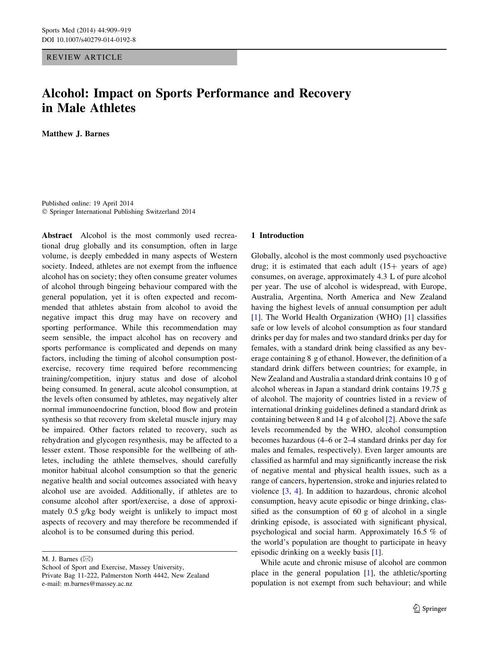REVIEW ARTICLE

# Alcohol: Impact on Sports Performance and Recovery in Male Athletes

Matthew J. Barnes

Published online: 19 April 2014 - Springer International Publishing Switzerland 2014

Abstract Alcohol is the most commonly used recreational drug globally and its consumption, often in large volume, is deeply embedded in many aspects of Western society. Indeed, athletes are not exempt from the influence alcohol has on society; they often consume greater volumes of alcohol through bingeing behaviour compared with the general population, yet it is often expected and recommended that athletes abstain from alcohol to avoid the negative impact this drug may have on recovery and sporting performance. While this recommendation may seem sensible, the impact alcohol has on recovery and sports performance is complicated and depends on many factors, including the timing of alcohol consumption postexercise, recovery time required before recommencing training/competition, injury status and dose of alcohol being consumed. In general, acute alcohol consumption, at the levels often consumed by athletes, may negatively alter normal immunoendocrine function, blood flow and protein synthesis so that recovery from skeletal muscle injury may be impaired. Other factors related to recovery, such as rehydration and glycogen resynthesis, may be affected to a lesser extent. Those responsible for the wellbeing of athletes, including the athlete themselves, should carefully monitor habitual alcohol consumption so that the generic negative health and social outcomes associated with heavy alcohol use are avoided. Additionally, if athletes are to consume alcohol after sport/exercise, a dose of approximately 0.5 g/kg body weight is unlikely to impact most aspects of recovery and may therefore be recommended if alcohol is to be consumed during this period.

M. J. Barnes  $(\boxtimes)$ 

#### 1 Introduction

Globally, alcohol is the most commonly used psychoactive drug; it is estimated that each adult  $(15+)$  years of age) consumes, on average, approximately 4.3 L of pure alcohol per year. The use of alcohol is widespread, with Europe, Australia, Argentina, North America and New Zealand having the highest levels of annual consumption per adult [\[1](#page-7-0)]. The World Health Organization (WHO) [\[1](#page-7-0)] classifies safe or low levels of alcohol consumption as four standard drinks per day for males and two standard drinks per day for females, with a standard drink being classified as any beverage containing 8 g of ethanol. However, the definition of a standard drink differs between countries; for example, in New Zealand and Australia a standard drink contains 10 g of alcohol whereas in Japan a standard drink contains 19.75 g of alcohol. The majority of countries listed in a review of international drinking guidelines defined a standard drink as containing between 8 and 14 g of alcohol [\[2](#page-7-0)]. Above the safe levels recommended by the WHO, alcohol consumption becomes hazardous (4–6 or 2–4 standard drinks per day for males and females, respectively). Even larger amounts are classified as harmful and may significantly increase the risk of negative mental and physical health issues, such as a range of cancers, hypertension, stroke and injuries related to violence [\[3](#page-7-0), [4\]](#page-7-0). In addition to hazardous, chronic alcohol consumption, heavy acute episodic or binge drinking, classified as the consumption of 60 g of alcohol in a single drinking episode, is associated with significant physical, psychological and social harm. Approximately 16.5 % of the world's population are thought to participate in heavy episodic drinking on a weekly basis [\[1](#page-7-0)].

While acute and chronic misuse of alcohol are common place in the general population [[1\]](#page-7-0), the athletic/sporting population is not exempt from such behaviour; and while

School of Sport and Exercise, Massey University, Private Bag 11-222, Palmerston North 4442, New Zealand e-mail: m.barnes@massey.ac.nz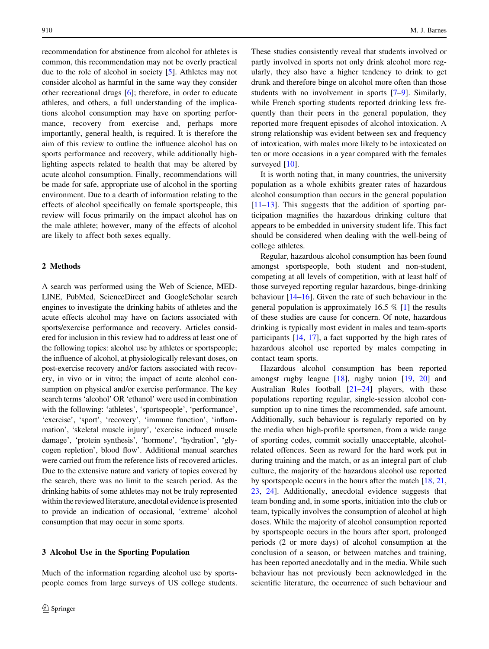recommendation for abstinence from alcohol for athletes is common, this recommendation may not be overly practical due to the role of alcohol in society [[5\]](#page-7-0). Athletes may not consider alcohol as harmful in the same way they consider other recreational drugs [[6\]](#page-7-0); therefore, in order to educate athletes, and others, a full understanding of the implications alcohol consumption may have on sporting performance, recovery from exercise and, perhaps more importantly, general health, is required. It is therefore the aim of this review to outline the influence alcohol has on sports performance and recovery, while additionally highlighting aspects related to health that may be altered by acute alcohol consumption. Finally, recommendations will be made for safe, appropriate use of alcohol in the sporting environment. Due to a dearth of information relating to the effects of alcohol specifically on female sportspeople, this review will focus primarily on the impact alcohol has on the male athlete; however, many of the effects of alcohol are likely to affect both sexes equally.

# 2 Methods

A search was performed using the Web of Science, MED-LINE, PubMed, ScienceDirect and GoogleScholar search engines to investigate the drinking habits of athletes and the acute effects alcohol may have on factors associated with sports/exercise performance and recovery. Articles considered for inclusion in this review had to address at least one of the following topics: alcohol use by athletes or sportspeople; the influence of alcohol, at physiologically relevant doses, on post-exercise recovery and/or factors associated with recovery, in vivo or in vitro; the impact of acute alcohol consumption on physical and/or exercise performance. The key search terms 'alcohol' OR 'ethanol' were used in combination with the following: 'athletes', 'sportspeople', 'performance', 'exercise', 'sport', 'recovery', 'immune function', 'inflammation', 'skeletal muscle injury', 'exercise induced muscle damage', 'protein synthesis', 'hormone', 'hydration', 'glycogen repletion', blood flow'. Additional manual searches were carried out from the reference lists of recovered articles. Due to the extensive nature and variety of topics covered by the search, there was no limit to the search period. As the drinking habits of some athletes may not be truly represented within the reviewed literature, anecdotal evidence is presented to provide an indication of occasional, 'extreme' alcohol consumption that may occur in some sports.

# 3 Alcohol Use in the Sporting Population

Much of the information regarding alcohol use by sportspeople comes from large surveys of US college students.

These studies consistently reveal that students involved or partly involved in sports not only drink alcohol more regularly, they also have a higher tendency to drink to get drunk and therefore binge on alcohol more often than those students with no involvement in sports [\[7–9](#page-8-0)]. Similarly, while French sporting students reported drinking less frequently than their peers in the general population, they reported more frequent episodes of alcohol intoxication. A strong relationship was evident between sex and frequency of intoxication, with males more likely to be intoxicated on ten or more occasions in a year compared with the females surveyed [[10\]](#page-8-0).

It is worth noting that, in many countries, the university population as a whole exhibits greater rates of hazardous alcohol consumption than occurs in the general population  $[11–13]$  $[11–13]$ . This suggests that the addition of sporting participation magnifies the hazardous drinking culture that appears to be embedded in university student life. This fact should be considered when dealing with the well-being of college athletes.

Regular, hazardous alcohol consumption has been found amongst sportspeople, both student and non-student, competing at all levels of competition, with at least half of those surveyed reporting regular hazardous, binge-drinking behaviour [\[14–16](#page-8-0)]. Given the rate of such behaviour in the general population is approximately 16.5 % [\[1](#page-7-0)] the results of these studies are cause for concern. Of note, hazardous drinking is typically most evident in males and team-sports participants [[14,](#page-8-0) [17](#page-8-0)], a fact supported by the high rates of hazardous alcohol use reported by males competing in contact team sports.

Hazardous alcohol consumption has been reported amongst rugby league [\[18](#page-8-0)], rugby union [[19,](#page-8-0) [20\]](#page-8-0) and Australian Rules football [[21–24\]](#page-8-0) players, with these populations reporting regular, single-session alcohol consumption up to nine times the recommended, safe amount. Additionally, such behaviour is regularly reported on by the media when high-profile sportsmen, from a wide range of sporting codes, commit socially unacceptable, alcoholrelated offences. Seen as reward for the hard work put in during training and the match, or as an integral part of club culture, the majority of the hazardous alcohol use reported by sportspeople occurs in the hours after the match [[18,](#page-8-0) [21,](#page-8-0) [23](#page-8-0), [24](#page-8-0)]. Additionally, anecdotal evidence suggests that team bonding and, in some sports, initiation into the club or team, typically involves the consumption of alcohol at high doses. While the majority of alcohol consumption reported by sportspeople occurs in the hours after sport, prolonged periods (2 or more days) of alcohol consumption at the conclusion of a season, or between matches and training, has been reported anecdotally and in the media. While such behaviour has not previously been acknowledged in the scientific literature, the occurrence of such behaviour and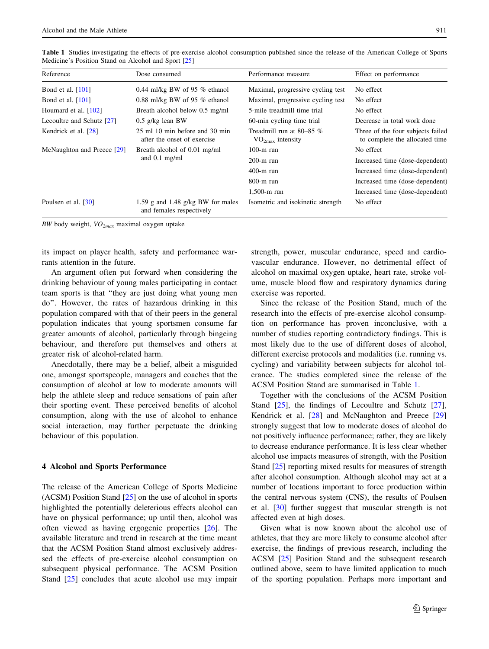| Reference                  | Dose consumed                                                 | Performance measure                                                                                                     | Effect on performance           |  |
|----------------------------|---------------------------------------------------------------|-------------------------------------------------------------------------------------------------------------------------|---------------------------------|--|
| Bond et al. $[101]$        | 0.44 ml/kg BW of 95 $%$ ethanol                               | Maximal, progressive cycling test                                                                                       | No effect                       |  |
| Bond et al. $[101]$        | 0.88 ml/kg BW of 95 $%$ ethanol                               | Maximal, progressive cycling test                                                                                       | No effect                       |  |
| Houmard et al. $[102]$     | Breath alcohol below 0.5 mg/ml                                | 5-mile treadmill time trial                                                                                             | No effect                       |  |
| Lecoultre and Schutz [27]  | $0.5$ g/kg lean BW                                            | 60-min cycling time trial                                                                                               | Decrease in total work done     |  |
| Kendrick et al. [28]       | 25 ml 10 min before and 30 min<br>after the onset of exercise | Treadmill run at 80–85 $%$<br>Three of the four subjects failed<br>to complete the allocated time<br>$VO2max$ intensity |                                 |  |
| McNaughton and Preece [29] | Breath alcohol of 0.01 mg/ml<br>and $0.1$ mg/ml               | $100-m$ run                                                                                                             | No effect                       |  |
|                            |                                                               | $200-m$ run                                                                                                             | Increased time (dose-dependent) |  |
|                            |                                                               | $400-m$ run                                                                                                             | Increased time (dose-dependent) |  |
|                            |                                                               | $800-m$ run                                                                                                             | Increased time (dose-dependent) |  |
|                            |                                                               | $1.500-m$ run                                                                                                           | Increased time (dose-dependent) |  |
| Poulsen et al. [30]        | 1.59 g and 1.48 g/kg BW for males<br>and females respectively | Isometric and isokinetic strength                                                                                       | No effect                       |  |

Table 1 Studies investigating the effects of pre-exercise alcohol consumption published since the release of the American College of Sports Medicine's Position Stand on Alcohol and Sport [\[25\]](#page-8-0)

BW body weight,  $VO_{2max}$  maximal oxygen uptake

its impact on player health, safety and performance warrants attention in the future.

An argument often put forward when considering the drinking behaviour of young males participating in contact team sports is that ''they are just doing what young men do''. However, the rates of hazardous drinking in this population compared with that of their peers in the general population indicates that young sportsmen consume far greater amounts of alcohol, particularly through bingeing behaviour, and therefore put themselves and others at greater risk of alcohol-related harm.

Anecdotally, there may be a belief, albeit a misguided one, amongst sportspeople, managers and coaches that the consumption of alcohol at low to moderate amounts will help the athlete sleep and reduce sensations of pain after their sporting event. These perceived benefits of alcohol consumption, along with the use of alcohol to enhance social interaction, may further perpetuate the drinking behaviour of this population.

#### 4 Alcohol and Sports Performance

The release of the American College of Sports Medicine (ACSM) Position Stand [[25\]](#page-8-0) on the use of alcohol in sports highlighted the potentially deleterious effects alcohol can have on physical performance; up until then, alcohol was often viewed as having ergogenic properties [\[26](#page-8-0)]. The available literature and trend in research at the time meant that the ACSM Position Stand almost exclusively addressed the effects of pre-exercise alcohol consumption on subsequent physical performance. The ACSM Position Stand [[25\]](#page-8-0) concludes that acute alcohol use may impair strength, power, muscular endurance, speed and cardiovascular endurance. However, no detrimental effect of alcohol on maximal oxygen uptake, heart rate, stroke volume, muscle blood flow and respiratory dynamics during exercise was reported.

Since the release of the Position Stand, much of the research into the effects of pre-exercise alcohol consumption on performance has proven inconclusive, with a number of studies reporting contradictory findings. This is most likely due to the use of different doses of alcohol, different exercise protocols and modalities (i.e. running vs. cycling) and variability between subjects for alcohol tolerance. The studies completed since the release of the ACSM Position Stand are summarised in Table 1.

Together with the conclusions of the ACSM Position Stand [[25\]](#page-8-0), the findings of Lecoultre and Schutz [\[27](#page-8-0)], Kendrick et al. [[28\]](#page-8-0) and McNaughton and Preece [[29\]](#page-8-0) strongly suggest that low to moderate doses of alcohol do not positively influence performance; rather, they are likely to decrease endurance performance. It is less clear whether alcohol use impacts measures of strength, with the Position Stand [[25\]](#page-8-0) reporting mixed results for measures of strength after alcohol consumption. Although alcohol may act at a number of locations important to force production within the central nervous system (CNS), the results of Poulsen et al. [\[30](#page-8-0)] further suggest that muscular strength is not affected even at high doses.

Given what is now known about the alcohol use of athletes, that they are more likely to consume alcohol after exercise, the findings of previous research, including the ACSM [\[25](#page-8-0)] Position Stand and the subsequent research outlined above, seem to have limited application to much of the sporting population. Perhaps more important and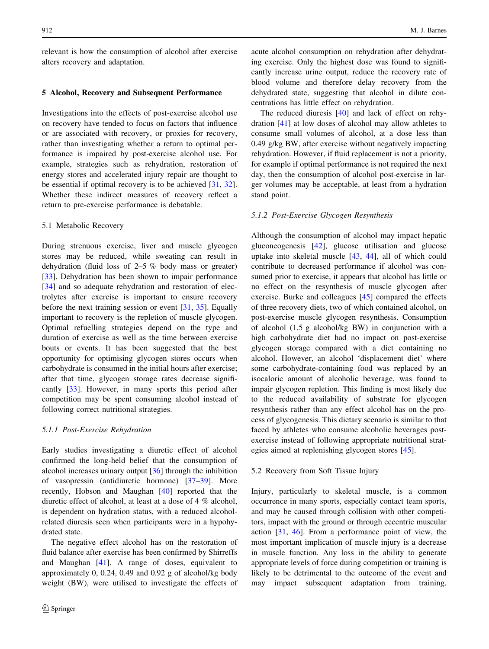relevant is how the consumption of alcohol after exercise alters recovery and adaptation.

# 5 Alcohol, Recovery and Subsequent Performance

Investigations into the effects of post-exercise alcohol use on recovery have tended to focus on factors that influence or are associated with recovery, or proxies for recovery, rather than investigating whether a return to optimal performance is impaired by post-exercise alcohol use. For example, strategies such as rehydration, restoration of energy stores and accelerated injury repair are thought to be essential if optimal recovery is to be achieved [[31,](#page-8-0) [32](#page-8-0)]. Whether these indirect measures of recovery reflect a return to pre-exercise performance is debatable.

#### 5.1 Metabolic Recovery

During strenuous exercise, liver and muscle glycogen stores may be reduced, while sweating can result in dehydration (fluid loss of 2–5 % body mass or greater) [\[33](#page-8-0)]. Dehydration has been shown to impair performance [\[34](#page-8-0)] and so adequate rehydration and restoration of electrolytes after exercise is important to ensure recovery before the next training session or event [[31,](#page-8-0) [35\]](#page-8-0). Equally important to recovery is the repletion of muscle glycogen. Optimal refuelling strategies depend on the type and duration of exercise as well as the time between exercise bouts or events. It has been suggested that the best opportunity for optimising glycogen stores occurs when carbohydrate is consumed in the initial hours after exercise; after that time, glycogen storage rates decrease significantly [\[33](#page-8-0)]. However, in many sports this period after competition may be spent consuming alcohol instead of following correct nutritional strategies.

#### 5.1.1 Post-Exercise Rehydration

Early studies investigating a diuretic effect of alcohol confirmed the long-held belief that the consumption of alcohol increases urinary output [[36\]](#page-8-0) through the inhibition of vasopressin (antidiuretic hormone) [[37–39\]](#page-8-0). More recently, Hobson and Maughan [[40\]](#page-8-0) reported that the diuretic effect of alcohol, at least at a dose of 4 % alcohol, is dependent on hydration status, with a reduced alcoholrelated diuresis seen when participants were in a hypohydrated state.

The negative effect alcohol has on the restoration of fluid balance after exercise has been confirmed by Shirreffs and Maughan [\[41](#page-8-0)]. A range of doses, equivalent to approximately 0, 0.24, 0.49 and 0.92 g of alcohol/kg body weight (BW), were utilised to investigate the effects of acute alcohol consumption on rehydration after dehydrating exercise. Only the highest dose was found to significantly increase urine output, reduce the recovery rate of blood volume and therefore delay recovery from the dehydrated state, suggesting that alcohol in dilute concentrations has little effect on rehydration.

The reduced diuresis [[40\]](#page-8-0) and lack of effect on rehydration [\[41](#page-8-0)] at low doses of alcohol may allow athletes to consume small volumes of alcohol, at a dose less than 0.49 g/kg BW, after exercise without negatively impacting rehydration. However, if fluid replacement is not a priority, for example if optimal performance is not required the next day, then the consumption of alcohol post-exercise in larger volumes may be acceptable, at least from a hydration stand point.

#### 5.1.2 Post-Exercise Glycogen Resynthesis

Although the consumption of alcohol may impact hepatic gluconeogenesis [[42\]](#page-8-0), glucose utilisation and glucose uptake into skeletal muscle [[43,](#page-8-0) [44\]](#page-8-0), all of which could contribute to decreased performance if alcohol was consumed prior to exercise, it appears that alcohol has little or no effect on the resynthesis of muscle glycogen after exercise. Burke and colleagues [\[45](#page-8-0)] compared the effects of three recovery diets, two of which contained alcohol, on post-exercise muscle glycogen resynthesis. Consumption of alcohol (1.5 g alcohol/kg BW) in conjunction with a high carbohydrate diet had no impact on post-exercise glycogen storage compared with a diet containing no alcohol. However, an alcohol 'displacement diet' where some carbohydrate-containing food was replaced by an isocaloric amount of alcoholic beverage, was found to impair glycogen repletion. This finding is most likely due to the reduced availability of substrate for glycogen resynthesis rather than any effect alcohol has on the process of glycogenesis. This dietary scenario is similar to that faced by athletes who consume alcoholic beverages postexercise instead of following appropriate nutritional strategies aimed at replenishing glycogen stores [\[45](#page-8-0)].

#### 5.2 Recovery from Soft Tissue Injury

Injury, particularly to skeletal muscle, is a common occurrence in many sports, especially contact team sports, and may be caused through collision with other competitors, impact with the ground or through eccentric muscular action [[31,](#page-8-0) [46\]](#page-8-0). From a performance point of view, the most important implication of muscle injury is a decrease in muscle function. Any loss in the ability to generate appropriate levels of force during competition or training is likely to be detrimental to the outcome of the event and may impact subsequent adaptation from training.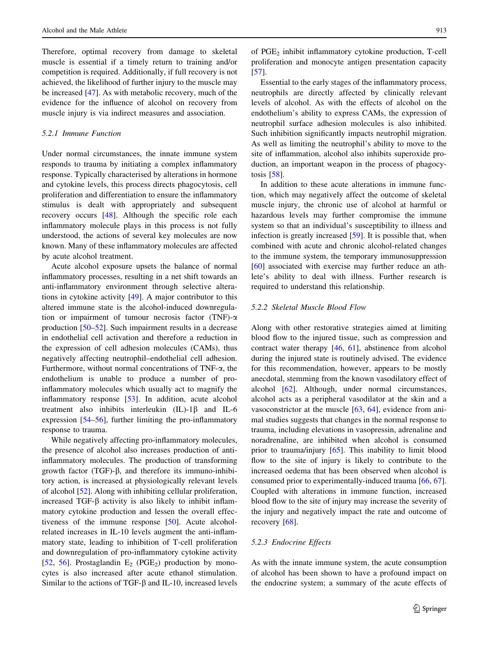Therefore, optimal recovery from damage to skeletal muscle is essential if a timely return to training and/or competition is required. Additionally, if full recovery is not achieved, the likelihood of further injury to the muscle may be increased [[47\]](#page-8-0). As with metabolic recovery, much of the evidence for the influence of alcohol on recovery from muscle injury is via indirect measures and association.

# 5.2.1 Immune Function

Under normal circumstances, the innate immune system responds to trauma by initiating a complex inflammatory response. Typically characterised by alterations in hormone and cytokine levels, this process directs phagocytosis, cell proliferation and differentiation to ensure the inflammatory stimulus is dealt with appropriately and subsequent recovery occurs [[48\]](#page-8-0). Although the specific role each inflammatory molecule plays in this process is not fully understood, the actions of several key molecules are now known. Many of these inflammatory molecules are affected by acute alcohol treatment.

Acute alcohol exposure upsets the balance of normal inflammatory processes, resulting in a net shift towards an anti-inflammatory environment through selective alterations in cytokine activity [\[49](#page-8-0)]. A major contributor to this altered immune state is the alcohol-induced downregulation or impairment of tumour necrosis factor (TNF)- $\alpha$ production [[50–52\]](#page-8-0). Such impairment results in a decrease in endothelial cell activation and therefore a reduction in the expression of cell adhesion molecules (CAMs), thus negatively affecting neutrophil–endothelial cell adhesion. Furthermore, without normal concentrations of  $TNF-\alpha$ , the endothelium is unable to produce a number of proinflammatory molecules which usually act to magnify the inflammatory response [\[53](#page-9-0)]. In addition, acute alcohol treatment also inhibits interleukin  $(IL)-1\beta$  and  $IL-6$ expression [[54–56\]](#page-9-0), further limiting the pro-inflammatory response to trauma.

While negatively affecting pro-inflammatory molecules, the presence of alcohol also increases production of antiinflammatory molecules. The production of transforming growth factor (TGF)- $\beta$ , and therefore its immuno-inhibitory action, is increased at physiologically relevant levels of alcohol [[52\]](#page-8-0). Along with inhibiting cellular proliferation, increased TGF- $\beta$  activity is also likely to inhibit inflammatory cytokine production and lessen the overall effectiveness of the immune response [[50\]](#page-8-0). Acute alcoholrelated increases in IL-10 levels augment the anti-inflammatory state, leading to inhibition of T-cell proliferation and downregulation of pro-inflammatory cytokine activity [\[52](#page-8-0), [56\]](#page-9-0). Prostaglandin  $E_2$  (PGE<sub>2</sub>) production by monocytes is also increased after acute ethanol stimulation. Similar to the actions of TGF- $\beta$  and IL-10, increased levels of PGE<sub>2</sub> inhibit inflammatory cytokine production, T-cell proliferation and monocyte antigen presentation capacity [\[57](#page-9-0)].

Essential to the early stages of the inflammatory process, neutrophils are directly affected by clinically relevant levels of alcohol. As with the effects of alcohol on the endothelium's ability to express CAMs, the expression of neutrophil surface adhesion molecules is also inhibited. Such inhibition significantly impacts neutrophil migration. As well as limiting the neutrophil's ability to move to the site of inflammation, alcohol also inhibits superoxide production, an important weapon in the process of phagocytosis [\[58](#page-9-0)].

In addition to these acute alterations in immune function, which may negatively affect the outcome of skeletal muscle injury, the chronic use of alcohol at harmful or hazardous levels may further compromise the immune system so that an individual's susceptibility to illness and infection is greatly increased [\[59](#page-9-0)]. It is possible that, when combined with acute and chronic alcohol-related changes to the immune system, the temporary immunosuppression [\[60](#page-9-0)] associated with exercise may further reduce an athlete's ability to deal with illness. Further research is required to understand this relationship.

# 5.2.2 Skeletal Muscle Blood Flow

Along with other restorative strategies aimed at limiting blood flow to the injured tissue, such as compression and contract water therapy [\[46](#page-8-0), [61](#page-9-0)], abstinence from alcohol during the injured state is routinely advised. The evidence for this recommendation, however, appears to be mostly anecdotal, stemming from the known vasodilatory effect of alcohol [[62\]](#page-9-0). Although, under normal circumstances, alcohol acts as a peripheral vasodilator at the skin and a vasoconstrictor at the muscle [[63,](#page-9-0) [64\]](#page-9-0), evidence from animal studies suggests that changes in the normal response to trauma, including elevations in vasopressin, adrenaline and noradrenaline, are inhibited when alcohol is consumed prior to trauma/injury [[65\]](#page-9-0). This inability to limit blood flow to the site of injury is likely to contribute to the increased oedema that has been observed when alcohol is consumed prior to experimentally-induced trauma [\[66](#page-9-0), [67](#page-9-0)]. Coupled with alterations in immune function, increased blood flow to the site of injury may increase the severity of the injury and negatively impact the rate and outcome of recovery [[68\]](#page-9-0).

# 5.2.3 Endocrine Effects

As with the innate immune system, the acute consumption of alcohol has been shown to have a profound impact on the endocrine system; a summary of the acute effects of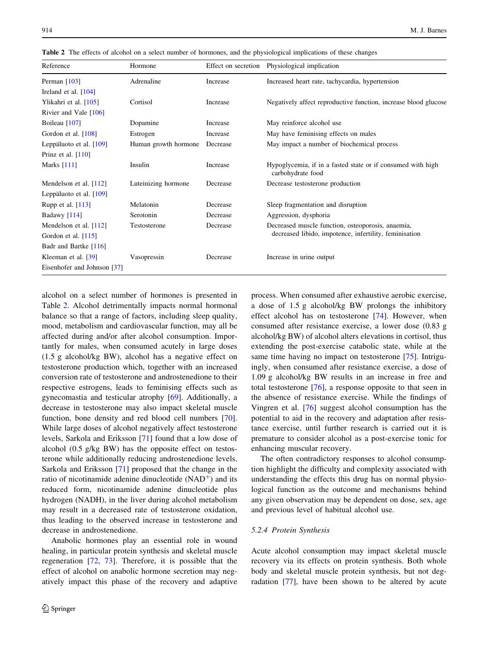| Reference                   | Hormone              |          | Effect on secretion Physiological implication                                                               |  |
|-----------------------------|----------------------|----------|-------------------------------------------------------------------------------------------------------------|--|
| Perman $[103]$              | Adrenaline           | Increase | Increased heart rate, tachycardia, hypertension                                                             |  |
| Ireland et al. $[104]$      |                      |          |                                                                                                             |  |
| Ylikahri et al. [105]       | Cortisol             | Increase | Negatively affect reproductive function, increase blood glucose                                             |  |
| Rivier and Vale $[106]$     |                      |          |                                                                                                             |  |
| Boileau $[107]$             | Dopamine             | Increase | May reinforce alcohol use                                                                                   |  |
| Gordon et al. [108]         | Estrogen             | Increase | May have feminising effects on males                                                                        |  |
| Leppäluoto et al. $[109]$   | Human growth hormone | Decrease | May impact a number of biochemical process                                                                  |  |
| Prinz et al. $[110]$        |                      |          |                                                                                                             |  |
| Marks $[111]$               | Insulin              | Increase | Hypoglycemia, if in a fasted state or if consumed with high<br>carbohydrate food                            |  |
| Mendelson et al. [112]      | Luteinizing hormone  | Decrease | Decrease testosterone production                                                                            |  |
| Leppäluoto et al. [109]     |                      |          |                                                                                                             |  |
| Rupp et al. [113]           | Melatonin            | Decrease | Sleep fragmentation and disruption                                                                          |  |
| Badawy [114]                | Serotonin            | Decrease | Aggression, dysphoria                                                                                       |  |
| Mendelson et al. [112]      | Testosterone         | Decrease | Decreased muscle function, osteoporosis, anaemia,<br>decreased libido, impotence, infertility, feminisation |  |
| Gordon et al. $[115]$       |                      |          |                                                                                                             |  |
| Badr and Bartke [116]       |                      |          |                                                                                                             |  |
| Kleeman et al. $[39]$       | Vasopressin          | Decrease | Increase in urine output                                                                                    |  |
| Eisenhofer and Johnson [37] |                      |          |                                                                                                             |  |

Table 2 The effects of alcohol on a select number of hormones, and the physiological implications of these changes

alcohol on a select number of hormones is presented in Table 2. Alcohol detrimentally impacts normal hormonal balance so that a range of factors, including sleep quality, mood, metabolism and cardiovascular function, may all be affected during and/or after alcohol consumption. Importantly for males, when consumed acutely in large doses (1.5 g alcohol/kg BW), alcohol has a negative effect on testosterone production which, together with an increased conversion rate of testosterone and androstenedione to their respective estrogens, leads to feminising effects such as gynecomastia and testicular atrophy [[69\]](#page-9-0). Additionally, a decrease in testosterone may also impact skeletal muscle function, bone density and red blood cell numbers [\[70](#page-9-0)]. While large doses of alcohol negatively affect testosterone levels, Sarkola and Eriksson [[71\]](#page-9-0) found that a low dose of alcohol (0.5 g/kg BW) has the opposite effect on testosterone while additionally reducing androstenedione levels. Sarkola and Eriksson [\[71\]](#page-9-0) proposed that the change in the ratio of nicotinamide adenine dinucleotide  $(NAD<sup>+</sup>)$  and its reduced form, nicotinamide adenine dinucleotide plus hydrogen (NADH), in the liver during alcohol metabolism may result in a decreased rate of testosterone oxidation, thus leading to the observed increase in testosterone and decrease in androstenedione.

Anabolic hormones play an essential role in wound healing, in particular protein synthesis and skeletal muscle regeneration [[72,](#page-9-0) [73](#page-9-0)]. Therefore, it is possible that the effect of alcohol on anabolic hormone secretion may negatively impact this phase of the recovery and adaptive process. When consumed after exhaustive aerobic exercise, a dose of 1.5 g alcohol/kg BW prolongs the inhibitory effect alcohol has on testosterone [[74\]](#page-9-0). However, when consumed after resistance exercise, a lower dose (0.83 g alcohol/kg BW) of alcohol alters elevations in cortisol, thus extending the post-exercise catabolic state, while at the same time having no impact on testosterone [\[75](#page-9-0)]. Intriguingly, when consumed after resistance exercise, a dose of 1.09 g alcohol/kg BW results in an increase in free and total testosterone [\[76](#page-9-0)], a response opposite to that seen in the absence of resistance exercise. While the findings of Vingren et al. [\[76](#page-9-0)] suggest alcohol consumption has the potential to aid in the recovery and adaptation after resistance exercise, until further research is carried out it is premature to consider alcohol as a post-exercise tonic for enhancing muscular recovery.

The often contradictory responses to alcohol consumption highlight the difficulty and complexity associated with understanding the effects this drug has on normal physiological function as the outcome and mechanisms behind any given observation may be dependent on dose, sex, age and previous level of habitual alcohol use.

# 5.2.4 Protein Synthesis

Acute alcohol consumption may impact skeletal muscle recovery via its effects on protein synthesis. Both whole body and skeletal muscle protein synthesis, but not degradation [\[77](#page-9-0)], have been shown to be altered by acute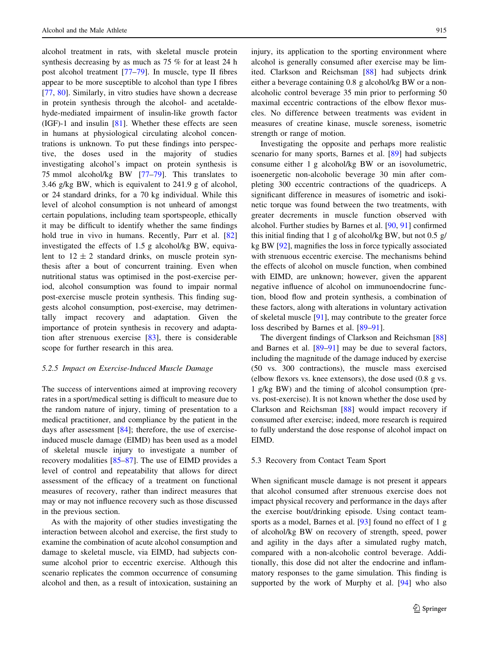alcohol treatment in rats, with skeletal muscle protein synthesis decreasing by as much as 75 % for at least 24 h post alcohol treatment [\[77–79](#page-9-0)]. In muscle, type II fibres appear to be more susceptible to alcohol than type I fibres [\[77](#page-9-0), [80\]](#page-9-0). Similarly, in vitro studies have shown a decrease in protein synthesis through the alcohol- and acetaldehyde-mediated impairment of insulin-like growth factor (IGF)-1 and insulin [[81\]](#page-9-0). Whether these effects are seen in humans at physiological circulating alcohol concentrations is unknown. To put these findings into perspective, the doses used in the majority of studies investigating alcohol's impact on protein synthesis is 75 mmol alcohol/kg BW [\[77–79](#page-9-0)]. This translates to 3.46 g/kg BW, which is equivalent to 241.9 g of alcohol, or 24 standard drinks, for a 70 kg individual. While this level of alcohol consumption is not unheard of amongst certain populations, including team sportspeople, ethically it may be difficult to identify whether the same findings hold true in vivo in humans. Recently, Parr et al. [[82\]](#page-9-0) investigated the effects of 1.5 g alcohol/kg BW, equivalent to  $12 \pm 2$  standard drinks, on muscle protein synthesis after a bout of concurrent training. Even when nutritional status was optimised in the post-exercise period, alcohol consumption was found to impair normal post-exercise muscle protein synthesis. This finding suggests alcohol consumption, post-exercise, may detrimentally impact recovery and adaptation. Given the importance of protein synthesis in recovery and adaptation after strenuous exercise [\[83](#page-9-0)], there is considerable scope for further research in this area.

# 5.2.5 Impact on Exercise-Induced Muscle Damage

The success of interventions aimed at improving recovery rates in a sport/medical setting is difficult to measure due to the random nature of injury, timing of presentation to a medical practitioner, and compliance by the patient in the days after assessment [\[84](#page-9-0)]; therefore, the use of exerciseinduced muscle damage (EIMD) has been used as a model of skeletal muscle injury to investigate a number of recovery modalities [[85–87\]](#page-9-0). The use of EIMD provides a level of control and repeatability that allows for direct assessment of the efficacy of a treatment on functional measures of recovery, rather than indirect measures that may or may not influence recovery such as those discussed in the previous section.

As with the majority of other studies investigating the interaction between alcohol and exercise, the first study to examine the combination of acute alcohol consumption and damage to skeletal muscle, via EIMD, had subjects consume alcohol prior to eccentric exercise. Although this scenario replicates the common occurrence of consuming alcohol and then, as a result of intoxication, sustaining an injury, its application to the sporting environment where alcohol is generally consumed after exercise may be limited. Clarkson and Reichsman [[88\]](#page-9-0) had subjects drink either a beverage containing 0.8 g alcohol/kg BW or a nonalcoholic control beverage 35 min prior to performing 50 maximal eccentric contractions of the elbow flexor muscles. No difference between treatments was evident in measures of creatine kinase, muscle soreness, isometric strength or range of motion.

Investigating the opposite and perhaps more realistic scenario for many sports, Barnes et al. [\[89](#page-9-0)] had subjects consume either 1 g alcohol/kg BW or an isovolumetric, isoenergetic non-alcoholic beverage 30 min after completing 300 eccentric contractions of the quadriceps. A significant difference in measures of isometric and isokinetic torque was found between the two treatments, with greater decrements in muscle function observed with alcohol. Further studies by Barnes et al. [\[90](#page-9-0), [91\]](#page-9-0) confirmed this initial finding that 1 g of alcohol/kg BW, but not 0.5 g/ kg BW [\[92](#page-9-0)], magnifies the loss in force typically associated with strenuous eccentric exercise. The mechanisms behind the effects of alcohol on muscle function, when combined with EIMD, are unknown; however, given the apparent negative influence of alcohol on immunoendocrine function, blood flow and protein synthesis, a combination of these factors, along with alterations in voluntary activation of skeletal muscle [\[91](#page-9-0)], may contribute to the greater force loss described by Barnes et al. [\[89–91](#page-9-0)].

The divergent findings of Clarkson and Reichsman [[88\]](#page-9-0) and Barnes et al. [[89–91\]](#page-9-0) may be due to several factors, including the magnitude of the damage induced by exercise (50 vs. 300 contractions), the muscle mass exercised (elbow flexors vs. knee extensors), the dose used (0.8 g vs. 1 g/kg BW) and the timing of alcohol consumption (prevs. post-exercise). It is not known whether the dose used by Clarkson and Reichsman [[88\]](#page-9-0) would impact recovery if consumed after exercise; indeed, more research is required to fully understand the dose response of alcohol impact on EIMD.

#### 5.3 Recovery from Contact Team Sport

When significant muscle damage is not present it appears that alcohol consumed after strenuous exercise does not impact physical recovery and performance in the days after the exercise bout/drinking episode. Using contact teamsports as a model, Barnes et al. [[93\]](#page-9-0) found no effect of 1 g of alcohol/kg BW on recovery of strength, speed, power and agility in the days after a simulated rugby match, compared with a non-alcoholic control beverage. Additionally, this dose did not alter the endocrine and inflammatory responses to the game simulation. This finding is supported by the work of Murphy et al. [[94\]](#page-9-0) who also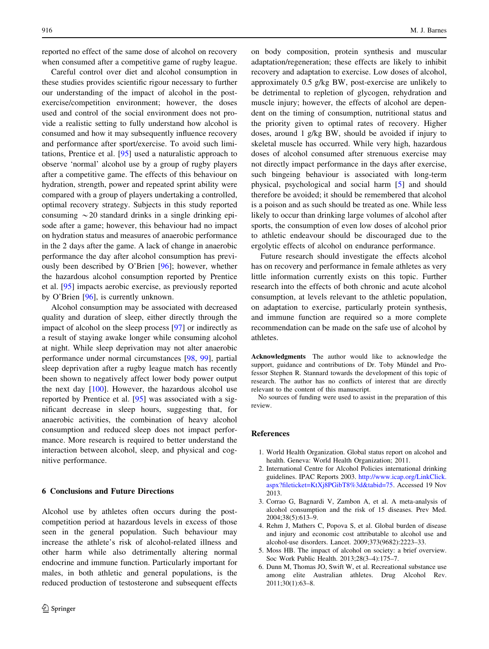<span id="page-7-0"></span>reported no effect of the same dose of alcohol on recovery when consumed after a competitive game of rugby league.

Careful control over diet and alcohol consumption in these studies provides scientific rigour necessary to further our understanding of the impact of alcohol in the postexercise/competition environment; however, the doses used and control of the social environment does not provide a realistic setting to fully understand how alcohol is consumed and how it may subsequently influence recovery and performance after sport/exercise. To avoid such limitations, Prentice et al. [\[95\]](#page-9-0) used a naturalistic approach to observe 'normal' alcohol use by a group of rugby players after a competitive game. The effects of this behaviour on hydration, strength, power and repeated sprint ability were compared with a group of players undertaking a controlled, optimal recovery strategy. Subjects in this study reported consuming  $\sim$  20 standard drinks in a single drinking episode after a game; however, this behaviour had no impact on hydration status and measures of anaerobic performance in the 2 days after the game. A lack of change in anaerobic performance the day after alcohol consumption has previously been described by O'Brien [[96\]](#page-9-0); however, whether the hazardous alcohol consumption reported by Prentice et al. [\[95](#page-9-0)] impacts aerobic exercise, as previously reported by O'Brien [[96\]](#page-9-0), is currently unknown.

Alcohol consumption may be associated with decreased quality and duration of sleep, either directly through the impact of alcohol on the sleep process [\[97](#page-9-0)] or indirectly as a result of staying awake longer while consuming alcohol at night. While sleep deprivation may not alter anaerobic performance under normal circumstances [[98,](#page-10-0) [99\]](#page-10-0), partial sleep deprivation after a rugby league match has recently been shown to negatively affect lower body power output the next day [[100\]](#page-10-0). However, the hazardous alcohol use reported by Prentice et al. [[95\]](#page-9-0) was associated with a significant decrease in sleep hours, suggesting that, for anaerobic activities, the combination of heavy alcohol consumption and reduced sleep does not impact performance. More research is required to better understand the interaction between alcohol, sleep, and physical and cognitive performance.

# 6 Conclusions and Future Directions

Alcohol use by athletes often occurs during the postcompetition period at hazardous levels in excess of those seen in the general population. Such behaviour may increase the athlete's risk of alcohol-related illness and other harm while also detrimentally altering normal endocrine and immune function. Particularly important for males, in both athletic and general populations, is the reduced production of testosterone and subsequent effects on body composition, protein synthesis and muscular adaptation/regeneration; these effects are likely to inhibit recovery and adaptation to exercise. Low doses of alcohol, approximately 0.5 g/kg BW, post-exercise are unlikely to be detrimental to repletion of glycogen, rehydration and muscle injury; however, the effects of alcohol are dependent on the timing of consumption, nutritional status and the priority given to optimal rates of recovery. Higher doses, around 1 g/kg BW, should be avoided if injury to skeletal muscle has occurred. While very high, hazardous doses of alcohol consumed after strenuous exercise may not directly impact performance in the days after exercise, such bingeing behaviour is associated with long-term physical, psychological and social harm [5] and should therefore be avoided; it should be remembered that alcohol is a poison and as such should be treated as one. While less likely to occur than drinking large volumes of alcohol after sports, the consumption of even low doses of alcohol prior to athletic endeavour should be discouraged due to the ergolytic effects of alcohol on endurance performance.

Future research should investigate the effects alcohol has on recovery and performance in female athletes as very little information currently exists on this topic. Further research into the effects of both chronic and acute alcohol consumption, at levels relevant to the athletic population, on adaptation to exercise, particularly protein synthesis, and immune function are required so a more complete recommendation can be made on the safe use of alcohol by athletes.

Acknowledgments The author would like to acknowledge the support, guidance and contributions of Dr. Toby Mündel and Professor Stephen R. Stannard towards the development of this topic of research. The author has no conflicts of interest that are directly relevant to the content of this manuscript.

No sources of funding were used to assist in the preparation of this review.

### References

- 1. World Health Organization. Global status report on alcohol and health. Geneva: World Health Organization; 2011.
- 2. International Centre for Alcohol Policies international drinking guidelines. IPAC Reports 2003. [http://www.icap.org/LinkClick.](http://www.icap.org/LinkClick.aspx?fileticket=KtXj8PGibT8%3d&tabid=75) [aspx?fileticket=KtXj8PGibT8%3d&tabid=75.](http://www.icap.org/LinkClick.aspx?fileticket=KtXj8PGibT8%3d&tabid=75) Accessed 19 Nov 2013.
- 3. Corrao G, Bagnardi V, Zambon A, et al. A meta-analysis of alcohol consumption and the risk of 15 diseases. Prev Med. 2004;38(5):613–9.
- 4. Rehm J, Mathers C, Popova S, et al. Global burden of disease and injury and economic cost attributable to alcohol use and alcohol-use disorders. Lancet. 2009;373(9682):2223–33.
- 5. Moss HB. The impact of alcohol on society: a brief overview. Soc Work Public Health. 2013;28(3–4):175–7.
- 6. Dunn M, Thomas JO, Swift W, et al. Recreational substance use among elite Australian athletes. Drug Alcohol Rev. 2011;30(1):63–8.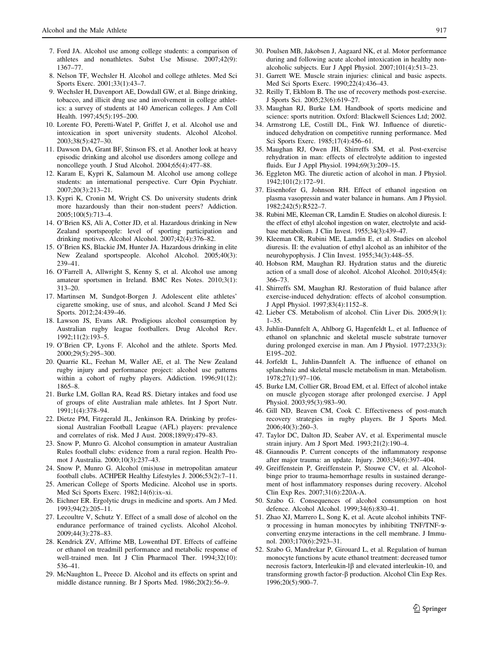- <span id="page-8-0"></span>7. Ford JA. Alcohol use among college students: a comparison of athletes and nonathletes. Subst Use Misuse. 2007;42(9): 1367–77.
- 8. Nelson TF, Wechsler H. Alcohol and college athletes. Med Sci Sports Exerc. 2001;33(1):43–7.
- 9. Wechsler H, Davenport AE, Dowdall GW, et al. Binge drinking, tobacco, and illicit drug use and involvement in college athletics: a survey of students at 140 American colleges. J Am Coll Health. 1997;45(5):195–200.
- 10. Lorente FO, Peretti-Watel P, Griffet J, et al. Alcohol use and intoxication in sport university students. Alcohol Alcohol. 2003;38(5):427–30.
- 11. Dawson DA, Grant BF, Stinson FS, et al. Another look at heavy episodic drinking and alcohol use disorders among college and noncollege youth. J Stud Alcohol. 2004;65(4):477–88.
- 12. Karam E, Kypri K, Salamoun M. Alcohol use among college students: an international perspective. Curr Opin Psychiatr. 2007;20(3):213–21.
- 13. Kypri K, Cronin M, Wright CS. Do university students drink more hazardously than their non-student peers? Addiction. 2005;100(5):713–4.
- 14. O'Brien KS, Ali A, Cotter JD, et al. Hazardous drinking in New Zealand sportspeople: level of sporting participation and drinking motives. Alcohol Alcohol. 2007;42(4):376–82.
- 15. O'Brien KS, Blackie JM, Hunter JA. Hazardous drinking in elite New Zealand sportspeople. Alcohol Alcohol. 2005;40(3): 239–41.
- 16. O'Farrell A, Allwright S, Kenny S, et al. Alcohol use among amateur sportsmen in Ireland. BMC Res Notes. 2010;3(1): 313–20.
- 17. Martinsen M, Sundgot-Borgen J. Adolescent elite athletes' cigarette smoking, use of snus, and alcohol. Scand J Med Sci Sports. 2012;24:439–46.
- 18. Lawson JS, Evans AR. Prodigious alcohol consumption by Australian rugby league footballers. Drug Alcohol Rev. 1992;11(2):193–5.
- 19. O'Brien CP, Lyons F. Alcohol and the athlete. Sports Med. 2000;29(5):295–300.
- 20. Quarrie KL, Feehan M, Waller AE, et al. The New Zealand rugby injury and performance project: alcohol use patterns within a cohort of rugby players. Addiction. 1996;91(12): 1865–8.
- 21. Burke LM, Gollan RA, Read RS. Dietary intakes and food use of groups of elite Australian male athletes. Int J Sport Nutr. 1991;1(4):378–94.
- 22. Dietze PM, Fitzgerald JL, Jenkinson RA. Drinking by professional Australian Football League (AFL) players: prevalence and correlates of risk. Med J Aust. 2008;189(9):479–83.
- 23. Snow P, Munro G. Alcohol consumption in amateur Australian Rules football clubs: evidence from a rural region. Health Promot J Australia. 2000;10(3):237–43.
- 24. Snow P, Munro G. Alcohol (mis)use in metropolitan amateur football clubs. ACHPER Healthy Lifestyles J. 2006;53(2):7–11.
- 25. American College of Sports Medicine. Alcohol use in sports. Med Sci Sports Exerc. 1982;14(6):ix–xi.
- 26. Eichner ER. Ergolytic drugs in medicine and sports. Am J Med. 1993;94(2):205–11.
- 27. Lecoultre V, Schutz Y. Effect of a small dose of alcohol on the endurance performance of trained cyclists. Alcohol Alcohol. 2009;44(3):278–83.
- 28. Kendrick ZV, Affrime MB, Lowenthal DT. Effects of caffeine or ethanol on treadmill performance and metabolic response of well-trained men. Int J Clin Pharmacol Ther. 1994;32(10): 536–41.
- 29. McNaughton L, Preece D. Alcohol and its effects on sprint and middle distance running. Br J Sports Med. 1986;20(2):56–9.
- 30. Poulsen MB, Jakobsen J, Aagaard NK, et al. Motor performance during and following acute alcohol intoxication in healthy nonalcoholic subjects. Eur J Appl Physiol. 2007;101(4):513–23.
- 31. Garrett WE. Muscle strain injuries: clinical and basic aspects. Med Sci Sports Exerc. 1990;22(4):436–43.
- 32. Reilly T, Ekblom B. The use of recovery methods post-exercise. J Sports Sci. 2005;23(6):619–27.
- 33. Maughan RJ, Burke LM. Handbook of sports medicine and science: sports nutrition. Oxford: Blackwell Sciences Ltd; 2002.
- 34. Armstrong LE, Costill DL, Fink WJ. Influence of diureticinduced dehydration on competitive running performance. Med Sci Sports Exerc. 1985;17(4):456–61.
- 35. Maughan RJ, Owen JH, Shirreffs SM, et al. Post-exercise rehydration in man: effects of electrolyte addition to ingested fluids. Eur J Appl Physiol. 1994;69(3):209–15.
- 36. Eggleton MG. The diuretic action of alcohol in man. J Physiol. 1942;101(2):172–91.
- 37. Eisenhofer G, Johnson RH. Effect of ethanol ingestion on plasma vasopressin and water balance in humans. Am J Physiol. 1982;242(5):R522–7.
- 38. Rubini ME, Kleeman CR, Lamdin E. Studies on alcohol diuresis. I: the effect of ethyl alcohol ingestion on water, electrolyte and acidbase metabolism. J Clin Invest. 1955;34(3):439–47.
- 39. Kleeman CR, Rubini ME, Lamdin E, et al. Studies on alcohol diuresis. II: the evaluation of ethyl alcohol as an inhibitor of the neurohypophysis. J Clin Invest. 1955;34(3):448–55.
- 40. Hobson RM, Maughan RJ. Hydration status and the diuretic action of a small dose of alcohol. Alcohol Alcohol. 2010;45(4): 366–73.
- 41. Shirreffs SM, Maughan RJ. Restoration of fluid balance after exercise-induced dehydration: effects of alcohol consumption. J Appl Physiol. 1997;83(4):1152–8.
- 42. Lieber CS. Metabolism of alcohol. Clin Liver Dis. 2005;9(1):  $1 - 35$
- 43. Juhlin-Dannfelt A, Ahlborg G, Hagenfeldt L, et al. Influence of ethanol on splanchnic and skeletal muscle substrate turnover during prolonged exercise in man. Am J Physiol. 1977;233(3): E195–202.
- 44. Jorfeldt L, Juhlin-Dannfelt A. The influence of ethanol on splanchnic and skeletal muscle metabolism in man. Metabolism. 1978;27(1):97–106.
- 45. Burke LM, Collier GR, Broad EM, et al. Effect of alcohol intake on muscle glycogen storage after prolonged exercise. J Appl Physiol. 2003;95(3):983–90.
- 46. Gill ND, Beaven CM, Cook C. Effectiveness of post-match recovery strategies in rugby players. Br J Sports Med. 2006;40(3):260–3.
- 47. Taylor DC, Dalton JD, Seaber AV, et al. Experimental muscle strain injury. Am J Sport Med. 1993;21(2):190–4.
- 48. Giannoudis P. Current concepts of the inflammatory response after major trauma: an update. Injury. 2003;34(6):397–404.
- 49. Greiffenstein P, Greiffenstein P, Stouwe CV, et al. Alcoholbinge prior to trauma-hemorrhage results in sustained derangement of host inflammatory responses during recovery. Alcohol Clin Exp Res. 2007;31(6):220A-A.
- 50. Szabo G. Consequences of alcohol consumption on host defence. Alcohol Alcohol. 1999;34(6):830–41.
- 51. Zhao XJ, Marrero L, Song K, et al. Acute alcohol inhibits TNF- $\alpha$  processing in human monocytes by inhibiting TNF/TNF- $\alpha$ converting enzyme interactions in the cell membrane. J Immunol. 2003;170(6):2923–31.
- 52. Szabo G, Mandrekar P, Girouard L, et al. Regulation of human monocyte functions by acute ethanol treatment: decreased tumor necrosis factora, Interleukin- $1\beta$  and elevated interleukin-10, and transforming growth factor- $\beta$  production. Alcohol Clin Exp Res. 1996;20(5):900–7.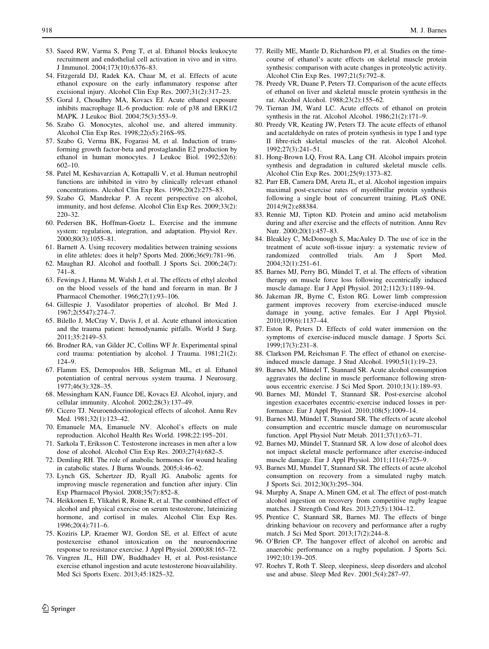- <span id="page-9-0"></span>53. Saeed RW, Varma S, Peng T, et al. Ethanol blocks leukocyte recruitment and endothelial cell activation in vivo and in vitro. J Immunol. 2004;173(10):6376–83.
- 54. Fitzgerald DJ, Radek KA, Chaar M, et al. Effects of acute ethanol exposure on the early inflammatory response after excisional injury. Alcohol Clin Exp Res. 2007;31(2):317–23.
- 55. Goral J, Choudhry MA, Kovacs EJ. Acute ethanol exposure inhibits macrophage IL-6 production: role of p38 and ERK1/2 MAPK. J Leukoc Biol. 2004;75(3):553–9.
- 56. Szabo G. Monocytes, alcohol use, and altered immunity. Alcohol Clin Exp Res. 1998;22(s5):216S–9S.
- 57. Szabo G, Verma BK, Fogarasi M, et al. Induction of transforming growth factor-beta and prostaglandin E2 production by ethanol in human monocytes. J Leukoc Biol. 1992;52(6): 602–10.
- 58. Patel M, Keshavarzian A, Kottapalli V, et al. Human neutrophil functions are inhibited in vitro by clinically relevant ethanol concentrations. Alcohol Clin Exp Res. 1996;20(2):275–83.
- 59. Szabo G, Mandrekar P. A recent perspective on alcohol, immunity, and host defense. Alcohol Clin Exp Res. 2009;33(2): 220–32.
- 60. Pedersen BK, Hoffman-Goetz L. Exercise and the immune system: regulation, integration, and adaptation. Physiol Rev. 2000;80(3):1055–81.
- 61. Barnett A. Using recovery modalities between training sessions in elite athletes: does it help? Sports Med. 2006;36(9):781–96.
- 62. Maughan RJ. Alcohol and football. J Sports Sci. 2006;24(7): 741–8.
- 63. Fewings J, Hanna M, Walsh J, et al. The effects of ethyl alcohol on the blood vessels of the hand and forearm in man. Br J Pharmacol Chemother. 1966;27(1):93–106.
- 64. Gillespie J. Vasodilator properties of alcohol. Br Med J. 1967;2(5547):274–7.
- 65. Bilello J, McCray V, Davis J, et al. Acute ethanol intoxication and the trauma patient: hemodynamic pitfalls. World J Surg. 2011;35:2149–53.
- 66. Brodner RA, van Gilder JC, Collins WF Jr. Experimental spinal cord trauma: potentiation by alcohol. J Trauma. 1981;21(2): 124–9.
- 67. Flamm ES, Demopoulos HB, Seligman ML, et al. Ethanol potentiation of central nervous system trauma. J Neurosurg. 1977;46(3):328–35.
- 68. Messingham KAN, Faunce DE, Kovacs EJ. Alcohol, injury, and cellular immunity. Alcohol. 2002;28(3):137–49.
- 69. Cicero TJ. Neuroendocrinological effects of alcohol. Annu Rev Med. 1981;32(1):123–42.
- 70. Emanuele MA, Emanuele NV. Alcohol's effects on male reproduction. Alcohol Health Res World. 1998;22:195–201.
- 71. Sarkola T, Eriksson C. Testosterone increases in men after a low dose of alcohol. Alcohol Clin Exp Res. 2003;27(4):682–5.
- 72. Demling RH. The role of anabolic hormones for wound healing in catabolic states. J Burns Wounds. 2005;4:46–62.
- 73. Lynch GS, Schertzer JD, Ryall JG. Anabolic agents for improving muscle regeneration and function after injury. Clin Exp Pharmacol Physiol. 2008;35(7):852–8.
- 74. Heikkonen E, Ylikahri R, Roine R, et al. The combined effect of alcohol and physical exercise on serum testosterone, luteinizing hormone, and cortisol in males. Alcohol Clin Exp Res. 1996;20(4):711–6.
- 75. Koziris LP, Kraemer WJ, Gordon SE, et al. Effect of acute postexercise ethanol intoxication on the neuroendocrine response to resistance exercise. J Appl Physiol. 2000;88:165–72.
- 76. Vingren JL, Hill DW, Buddhadev H, et al. Post-resistance exercise ethanol ingestion and acute testosterone bioavailability. Med Sci Sports Exerc. 2013;45:1825–32.
- 77. Reilly ME, Mantle D, Richardson PJ, et al. Studies on the timecourse of ethanol's acute effects on skeletal muscle protein synthesis: comparison with acute changes in proteolytic activity. Alcohol Clin Exp Res. 1997;21(5):792–8.
- 78. Preedy VR, Duane P, Peters TJ. Comparison of the acute effects of ethanol on liver and skeletal muscle protein synthesis in the rat. Alcohol Alcohol. 1988;23(2):155–62.
- 79. Tiernan JM, Ward LC. Acute effects of ethanol on protein synthesis in the rat. Alcohol Alcohol. 1986;21(2):171–9.
- 80. Preedy VR, Keating JW, Peters TJ. The acute effects of ethanol and acetaldehyde on rates of protein synthesis in type I and type II fibre-rich skeletal muscles of the rat. Alcohol Alcohol. 1992;27(3):241–51.
- 81. Hong-Brown LQ, Frost RA, Lang CH. Alcohol impairs protein synthesis and degradation in cultured skeletal muscle cells. Alcohol Clin Exp Res. 2001;25(9):1373–82.
- 82. Parr EB, Camera DM, Areta JL, et al. Alcohol ingestion impairs maximal post-exercise rates of myofibrillar protein synthesis following a single bout of concurrent training. PLoS ONE. 2014;9(2):e88384.
- 83. Rennie MJ, Tipton KD. Protein and amino acid metabolism during and after exercise and the effects of nutrition. Annu Rev Nutr. 2000;20(1):457–83.
- 84. Bleakley C, McDonough S, MacAuley D. The use of ice in the treatment of acute soft-tissue injury: a systematic review of randomized controlled trials. Am J Sport Med. 2004;32(1):251–61.
- 85. Barnes MJ, Perry BG, Mündel T, et al. The effects of vibration therapy on muscle force loss following eccentrically induced muscle damage. Eur J Appl Physiol. 2012;112(3):1189–94.
- 86. Jakeman JR, Byrne C, Eston RG. Lower limb compression garment improves recovery from exercise-induced muscle damage in young, active females. Eur J Appl Physiol. 2010;109(6):1137–44.
- 87. Eston R, Peters D. Effects of cold water immersion on the symptoms of exercise-induced muscle damage. J Sports Sci. 1999;17(3):231–8.
- 88. Clarkson PM, Reichsman F. The effect of ethanol on exerciseinduced muscle damage. J Stud Alcohol. 1990;51(1):19–23.
- 89. Barnes MJ, Mündel T, Stannard SR. Acute alcohol consumption aggravates the decline in muscle performance following strenuous eccentric exercise. J Sci Med Sport. 2010;13(1):189–93.
- 90. Barnes MJ, Mündel T, Stannard SR. Post-exercise alcohol ingestion exacerbates eccentric-exercise induced losses in performance. Eur J Appl Physiol. 2010;108(5):1009–14.
- 91. Barnes MJ, Mündel T, Stannard SR. The effects of acute alcohol consumption and eccentric muscle damage on neuromuscular function. Appl Physiol Nutr Metab. 2011;37(1):63–71.
- 92. Barnes MJ, Mündel T, Stannard SR. A low dose of alcohol does not impact skeletal muscle performance after exercise-induced muscle damage. Eur J Appl Physiol. 2011;111(4):725–9.
- 93. Barnes MJ, Mundel T, Stannard SR. The effects of acute alcohol consumption on recovery from a simulated rugby match. J Sports Sci. 2012;30(3):295–304.
- 94. Murphy A, Snape A, Minett GM, et al. The effect of post-match alcohol ingestion on recovery from competitive rugby league matches. J Strength Cond Res. 2013;27(5):1304–12.
- 95. Prentice C, Stannard SR, Barnes MJ. The effects of binge drinking behaviour on recovery and performance after a rugby match. J Sci Med Sport. 2013;17(2):244–8.
- 96. O'Brien CP. The hangover effect of alcohol on aerobic and anaerobic performance on a rugby population. J Sports Sci. 1992;10:139–205.
- 97. Roehrs T, Roth T. Sleep, sleepiness, sleep disorders and alcohol use and abuse. Sleep Med Rev. 2001;5(4):287–97.